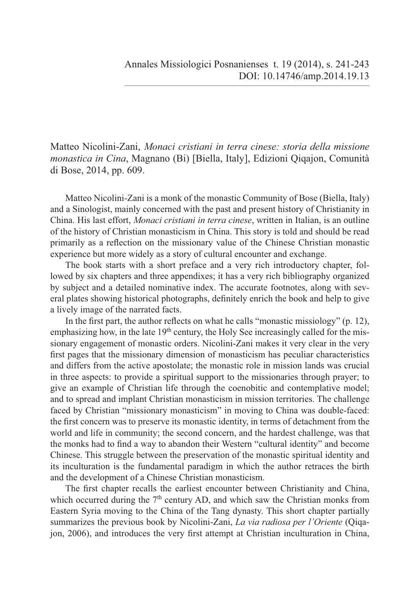Matteo Nicolini-Zani, *Monaci cristiani in terra cinese: storia della missione monastica in Cina*, Magnano (Bi) [Biella, Italy], Edizioni Qiqajon, Comunità di Bose, 2014, pp. 609.

Matteo Nicolini-Zani is a monk of the monastic Community of Bose (Biella, Italy) and a Sinologist, mainly concerned with the past and present history of Christianity in China. His last effort, *Monaci cristiani in terra cinese*, written in Italian, is an outline of the history of Christian monasticism in China. This story is told and should be read primarily as a reflection on the missionary value of the Chinese Christian monastic experience but more widely as a story of cultural encounter and exchange.

The book starts with a short preface and a very rich introductory chapter, followed by six chapters and three appendixes; it has a very rich bibliography organized by subject and a detailed nominative index. The accurate footnotes, along with several plates showing historical photographs, definitely enrich the book and help to give a lively image of the narrated facts.

In the first part, the author reflects on what he calls "monastic missiology"  $(p, 12)$ , emphasizing how, in the late  $19<sup>th</sup>$  century, the Holy See increasingly called for the missionary engagement of monastic orders. Nicolini-Zani makes it very clear in the very first pages that the missionary dimension of monasticism has peculiar characteristics and differs from the active apostolate; the monastic role in mission lands was crucial in three aspects: to provide a spiritual support to the missionaries through prayer; to give an example of Christian life through the coenobitic and contemplative model; and to spread and implant Christian monasticism in mission territories. The challenge faced by Christian "missionary monasticism" in moving to China was double-faced: the first concern was to preserve its monastic identity, in terms of detachment from the world and life in community; the second concern, and the hardest challenge, was that the monks had to find a way to abandon their Western "cultural identity" and become Chinese. This struggle between the preservation of the monastic spiritual identity and its inculturation is the fundamental paradigm in which the author retraces the birth and the development of a Chinese Christian monasticism.

The first chapter recalls the earliest encounter between Christianity and China, which occurred during the  $7<sup>th</sup>$  century AD, and which saw the Christian monks from Eastern Syria moving to the China of the Tang dynasty. This short chapter partially summarizes the previous book by Nicolini-Zani, *La via radiosa per l'Oriente* (Qiqajon, 2006), and introduces the very first attempt at Christian inculturation in China,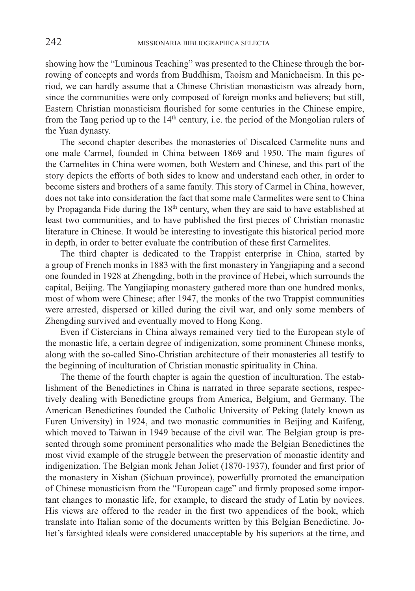showing how the "Luminous Teaching" was presented to the Chinese through the borrowing of concepts and words from Buddhism, Taoism and Manichaeism. In this period, we can hardly assume that a Chinese Christian monasticism was already born, since the communities were only composed of foreign monks and believers; but still, Eastern Christian monasticism flourished for some centuries in the Chinese empire, from the Tang period up to the  $14<sup>th</sup>$  century, i.e. the period of the Mongolian rulers of the Yuan dynasty.

The second chapter describes the monasteries of Discalced Carmelite nuns and one male Carmel, founded in China between 1869 and 1950. The main figures of the Carmelites in China were women, both Western and Chinese, and this part of the story depicts the efforts of both sides to know and understand each other, in order to become sisters and brothers of a same family. This story of Carmel in China, however, does not take into consideration the fact that some male Carmelites were sent to China by Propaganda Fide during the 18<sup>th</sup> century, when they are said to have established at least two communities, and to have published the first pieces of Christian monastic literature in Chinese. It would be interesting to investigate this historical period more in depth, in order to better evaluate the contribution of these first Carmelites.

The third chapter is dedicated to the Trappist enterprise in China, started by a group of French monks in 1883 with the first monastery in Yangjiaping and a second one founded in 1928 at Zhengding, both in the province of Hebei, which surrounds the capital, Beijing. The Yangjiaping monastery gathered more than one hundred monks, most of whom were Chinese; after 1947, the monks of the two Trappist communities were arrested, dispersed or killed during the civil war, and only some members of Zhengding survived and eventually moved to Hong Kong.

Even if Cistercians in China always remained very tied to the European style of the monastic life, a certain degree of indigenization, some prominent Chinese monks, along with the so-called Sino-Christian architecture of their monasteries all testify to the beginning of inculturation of Christian monastic spirituality in China.

The theme of the fourth chapter is again the question of inculturation. The establishment of the Benedictines in China is narrated in three separate sections, respectively dealing with Benedictine groups from America, Belgium, and Germany. The American Benedictines founded the Catholic University of Peking (lately known as Furen University) in 1924, and two monastic communities in Beijing and Kaifeng, which moved to Taiwan in 1949 because of the civil war. The Belgian group is presented through some prominent personalities who made the Belgian Benedictines the most vivid example of the struggle between the preservation of monastic identity and indigenization. The Belgian monk Jehan Joliet (1870-1937), founder and first prior of the monastery in Xishan (Sichuan province), powerfully promoted the emancipation of Chinese monasticism from the "European cage" and firmly proposed some important changes to monastic life, for example, to discard the study of Latin by novices. His views are offered to the reader in the first two appendices of the book, which translate into Italian some of the documents written by this Belgian Benedictine. Joliet's farsighted ideals were considered unacceptable by his superiors at the time, and